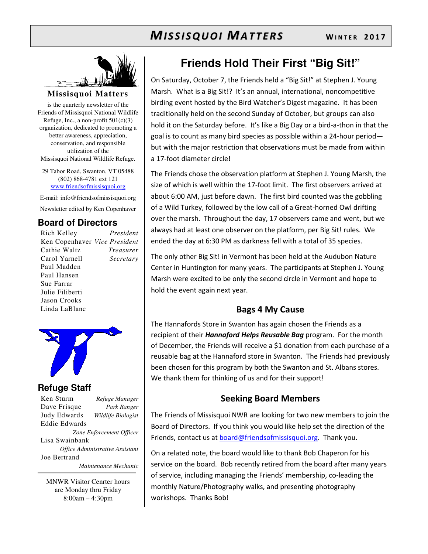

**Missisquoi Matters** 

is the quarterly newsletter of the Friends of Missisquoi National Wildlife Refuge, Inc., a non-profit  $501(c)(3)$ organization, dedicated to promoting a better awareness, appreciation, conservation, and responsible utilization of the Missisquoi National Wildlife Refuge.

29 Tabor Road, Swanton, VT 05488 (802) 868-4781 ext 121 www.friendsofmissisquoi.org

E-mail: info@friendsofmissisquoi.org Newsletter edited by Ken Copenhaver

## **Board of Directors**

Rich Kelley *President* Ken Copenhaver *Vice President* Cathie Waltz *Treasurer* Carol Yarnell *Secretary*  Paul Madden Paul Hansen Sue Farrar Julie Filiberti Jason Crooks Linda LaBlanc



#### **Refuge Staff**

Ken Sturm *Refuge Manager* Dave Frisque *Park Ranger* Judy Edwards *Wildlife Biologist* Eddie Edwards *Zone Enforcement Officer* Lisa Swainbank *Office Administrative Assistant*  Joe Bertrand  *Maintenance Mechanic*

MNWR Visitor Cenrter hours are Monday thru Friday 8:00am – 4:30pm

## **Friends Hold Their First "Big Sit!"**

On Saturday, October 7, the Friends held a "Big Sit!" at Stephen J. Young Marsh. What is a Big Sit!? It's an annual, international, noncompetitive birding event hosted by the Bird Watcher's Digest magazine. It has been traditionally held on the second Sunday of October, but groups can also hold it on the Saturday before. It's like a Big Day or a bird-a-thon in that the goal is to count as many bird species as possible within a 24-hour period but with the major restriction that observations must be made from within a 17-foot diameter circle!

The Friends chose the observation platform at Stephen J. Young Marsh, the size of which is well within the 17-foot limit. The first observers arrived at about 6:00 AM, just before dawn. The first bird counted was the gobbling of a Wild Turkey, followed by the low call of a Great-horned Owl drifting over the marsh. Throughout the day, 17 observers came and went, but we always had at least one observer on the platform, per Big Sit! rules. We ended the day at 6:30 PM as darkness fell with a total of 35 species.

The only other Big Sit! in Vermont has been held at the Audubon Nature Center in Huntington for many years. The participants at Stephen J. Young Marsh were excited to be only the second circle in Vermont and hope to hold the event again next year.

#### **Bags 4 My Cause**

The Hannafords Store in Swanton has again chosen the Friends as a recipient of their *Hannaford Helps Reusable Bag* program. For the month of December, the Friends will receive a \$1 donation from each purchase of a reusable bag at the Hannaford store in Swanton. The Friends had previously been chosen for this program by both the Swanton and St. Albans stores. We thank them for thinking of us and for their support!

#### **Seeking Board Members**

The Friends of Missisquoi NWR are looking for two new members to join the Board of Directors. If you think you would like help set the direction of the Friends, contact us at **board@friendsofmissisquoi.org**. Thank you.

On a related note, the board would like to thank Bob Chaperon for his service on the board. Bob recently retired from the board after many years of service, including managing the Friends' membership, co-leading the monthly Nature/Photography walks, and presenting photography workshops. Thanks Bob!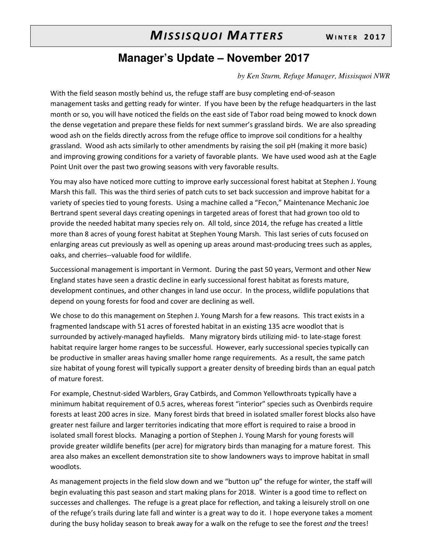## **Manager's Update – November 2017**

*by Ken Sturm, Refuge Manager, Missisquoi NWR* 

With the field season mostly behind us, the refuge staff are busy completing end-of-season management tasks and getting ready for winter. If you have been by the refuge headquarters in the last month or so, you will have noticed the fields on the east side of Tabor road being mowed to knock down the dense vegetation and prepare these fields for next summer's grassland birds. We are also spreading wood ash on the fields directly across from the refuge office to improve soil conditions for a healthy grassland. Wood ash acts similarly to other amendments by raising the soil pH (making it more basic) and improving growing conditions for a variety of favorable plants. We have used wood ash at the Eagle Point Unit over the past two growing seasons with very favorable results.

You may also have noticed more cutting to improve early successional forest habitat at Stephen J. Young Marsh this fall. This was the third series of patch cuts to set back succession and improve habitat for a variety of species tied to young forests. Using a machine called a "Fecon," Maintenance Mechanic Joe Bertrand spent several days creating openings in targeted areas of forest that had grown too old to provide the needed habitat many species rely on. All told, since 2014, the refuge has created a little more than 8 acres of young forest habitat at Stephen Young Marsh. This last series of cuts focused on enlarging areas cut previously as well as opening up areas around mast-producing trees such as apples, oaks, and cherries--valuable food for wildlife.

Successional management is important in Vermont. During the past 50 years, Vermont and other New England states have seen a drastic decline in early successional forest habitat as forests mature, development continues, and other changes in land use occur. In the process, wildlife populations that depend on young forests for food and cover are declining as well.

We chose to do this management on Stephen J. Young Marsh for a few reasons. This tract exists in a fragmented landscape with 51 acres of forested habitat in an existing 135 acre woodlot that is surrounded by actively-managed hayfields. Many migratory birds utilizing mid- to late-stage forest habitat require larger home ranges to be successful. However, early successional species typically can be productive in smaller areas having smaller home range requirements. As a result, the same patch size habitat of young forest will typically support a greater density of breeding birds than an equal patch of mature forest.

For example, Chestnut-sided Warblers, Gray Catbirds, and Common Yellowthroats typically have a minimum habitat requirement of 0.5 acres, whereas forest "interior" species such as Ovenbirds require forests at least 200 acres in size. Many forest birds that breed in isolated smaller forest blocks also have greater nest failure and larger territories indicating that more effort is required to raise a brood in isolated small forest blocks. Managing a portion of Stephen J. Young Marsh for young forests will provide greater wildlife benefits (per acre) for migratory birds than managing for a mature forest. This area also makes an excellent demonstration site to show landowners ways to improve habitat in small woodlots.

As management projects in the field slow down and we "button up" the refuge for winter, the staff will begin evaluating this past season and start making plans for 2018. Winter is a good time to reflect on successes and challenges. The refuge is a great place for reflection, and taking a leisurely stroll on one of the refuge's trails during late fall and winter is a great way to do it. I hope everyone takes a moment during the busy holiday season to break away for a walk on the refuge to see the forest *and* the trees!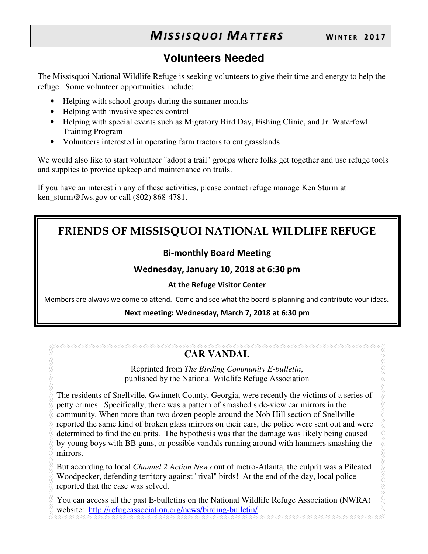# **Volunteers Needed**

The Missisquoi National Wildlife Refuge is seeking volunteers to give their time and energy to help the refuge. Some volunteer opportunities include:

- Helping with school groups during the summer months
- Helping with invasive species control
- Helping with special events such as Migratory Bird Day, Fishing Clinic, and Jr. Waterfowl Training Program
- Volunteers interested in operating farm tractors to cut grasslands

We would also like to start volunteer "adopt a trail" groups where folks get together and use refuge tools and supplies to provide upkeep and maintenance on trails.

If you have an interest in any of these activities, please contact refuge manage Ken Sturm at ken sturm@fws.gov or call  $(802)$  868-4781.

# **FRIENDS OF MISSISQUOI NATIONAL WILDLIFE REFUGE**

## **Bi-monthly Board Meeting**

### **Wednesday, January 10, 2018 at 6:30 pm**

#### **At the Refuge Visitor Center**

Members are always welcome to attend. Come and see what the board is planning and contribute your ideas.

#### **Next meeting: Wednesday, March 7, 2018 at 6:30 pm**

## **CAR VANDAL**

Reprinted from *The Birding Community E-bulletin*, published by the National Wildlife Refuge Association

The residents of Snellville, Gwinnett County, Georgia, were recently the victims of a series of petty crimes. Specifically, there was a pattern of smashed side-view car mirrors in the community. When more than two dozen people around the Nob Hill section of Snellville reported the same kind of broken glass mirrors on their cars, the police were sent out and were determined to find the culprits. The hypothesis was that the damage was likely being caused by young boys with BB guns, or possible vandals running around with hammers smashing the mirrors.

But according to local *Channel 2 Action News* out of metro-Atlanta, the culprit was a Pileated Woodpecker, defending territory against "rival" birds! At the end of the day, local police reported that the case was solved.

You can access all the past E-bulletins on the National Wildlife Refuge Association (NWRA) website: http://refugeassociation.org/news/birding-bulletin/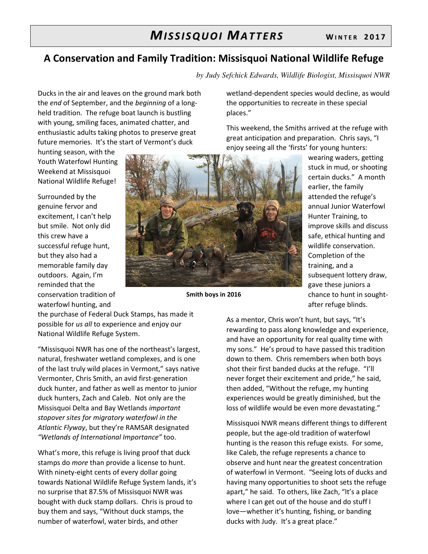## **A Conservation and Family Tradition: Missisquoi National Wildlife Refuge**

*by Judy Sefchick Edwards, Wildlife Biologist, Missisquoi NWR* 

Ducks in the air and leaves on the ground mark both the *end* of September, and the *beginning* of a longheld tradition. The refuge boat launch is bustling with young, smiling faces, animated chatter, and enthusiastic adults taking photos to preserve great future memories. It's the start of Vermont's duck

hunting season, with the Youth Waterfowl Hunting Weekend at Missisquoi National Wildlife Refuge!

Surrounded by the genuine fervor and excitement, I can't help but smile. Not only did this crew have a successful refuge hunt, but they also had a memorable family day outdoors. Again, I'm reminded that the conservation tradition of waterfowl hunting, and



**Smith boys in 2016**

wetland-dependent species would decline, as would the opportunities to recreate in these special places."

This weekend, the Smiths arrived at the refuge with great anticipation and preparation. Chris says, "I enjoy seeing all the 'firsts' for young hunters:

> wearing waders, getting stuck in mud, or shooting certain ducks." A month earlier, the family attended the refuge's annual Junior Waterfowl Hunter Training, to improve skills and discuss safe, ethical hunting and wildlife conservation. Completion of the training, and a subsequent lottery draw, gave these juniors a chance to hunt in soughtafter refuge blinds.

the purchase of Federal Duck Stamps, has made it possible for *us all* to experience and enjoy our National Wildlife Refuge System.

"Missisquoi NWR has one of the northeast's largest, natural, freshwater wetland complexes, and is one of the last truly wild places in Vermont," says native Vermonter, Chris Smith, an avid first-generation duck hunter, and father as well as mentor to junior duck hunters, Zach and Caleb. Not only are the Missisquoi Delta and Bay Wetlands *important stopover sites for migratory waterfowl in the Atlantic Flyway*, but they're RAMSAR designated *"Wetlands of International Importance"* too.

What's more, this refuge is living proof that duck stamps do *more* than provide a license to hunt. With ninety-eight cents of every dollar going towards National Wildlife Refuge System lands, it's no surprise that 87.5% of Missisquoi NWR was bought with duck stamp dollars. Chris is proud to buy them and says, "Without duck stamps, the number of waterfowl, water birds, and other

As a mentor, Chris won't hunt, but says, "It's rewarding to pass along knowledge and experience, and have an opportunity for real quality time with my sons." He's proud to have passed this tradition down to them. Chris remembers when both boys shot their first banded ducks at the refuge. "I'll never forget their excitement and pride," he said, then added, "Without the refuge, my hunting experiences would be greatly diminished, but the loss of wildlife would be even more devastating."

Missisquoi NWR means different things to different people, but the age-old tradition of waterfowl hunting is the reason this refuge exists. For some, like Caleb, the refuge represents a chance to observe and hunt near the greatest concentration of waterfowl in Vermont. "Seeing lots of ducks and having many opportunities to shoot sets the refuge apart," he said. To others, like Zach, "It's a place where I can get out of the house and do stuff I love—whether it's hunting, fishing, or banding ducks with Judy. It's a great place."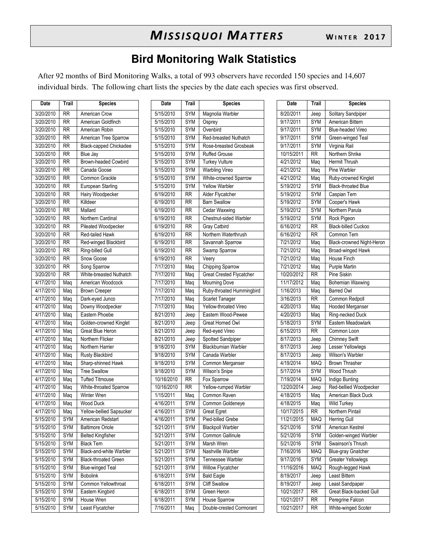## **Bird Monitoring Walk Statistics**

After 92 months of Bird Monitoring Walks, a total of 993 observers have recorded 150 species and 14,607 individual birds. The following chart lists the species by the date each species was first observed.

| Date                   | Trail           | <b>Species</b>                 | Date       | Trail           | <b>Species</b>                  | Date       | Trail           | <b>Species</b>             |
|------------------------|-----------------|--------------------------------|------------|-----------------|---------------------------------|------------|-----------------|----------------------------|
| 3/20/2010              | <b>RR</b>       | American Crow                  | 5/15/2010  | SYM             | Magnolia Warbler                | 8/20/2011  | Jeep            | Solitary Sandpiper         |
| 3/20/2010              | <b>RR</b>       | American Goldfinch             | 5/15/2010  | SYM             | Osprey                          | 9/17/2011  | SYM             | American Bittern           |
| 3/20/2010              | <b>RR</b>       | American Robin                 | 5/15/2010  | <b>SYM</b>      | Ovenbird                        | 9/17/2011  | <b>SYM</b>      | <b>Blue-headed Vireo</b>   |
| 3/20/2010              | <b>RR</b>       | American Tree Sparrow          | 5/15/2010  | <b>SYM</b>      | Red-breasted Nuthatch           | 9/17/2011  | <b>SYM</b>      | Green-winged Tea           |
| 3/20/2010              | <b>RR</b>       | Black-capped Chickadee         | 5/15/2010  | SYM             | Rose-breasted Grosbeak          | 9/17/2011  | SYM             | Virginia Rail              |
| 3/20/2010              | $\overline{RR}$ | Blue Jay                       | 5/15/2010  | <b>SYM</b>      | <b>Ruffed Grouse</b>            | 10/15/2011 | $\overline{RR}$ | Northern Shrike            |
| 3/20/2010              | <b>RR</b>       | Brown-headed Cowbird           | 5/15/2010  | <b>SYM</b>      | <b>Turkey Vulture</b>           | 4/21/2012  | Maq             | Hermit Thrush              |
| 3/20/2010              | <b>RR</b>       | Canada Goose                   | 5/15/2010  | <b>SYM</b>      | Warbling Vireo                  | 4/21/2012  | Mag             | Pine Warbler               |
| 3/20/2010              | $\overline{RR}$ | Common Grackle                 | 5/15/2010  | <b>SYM</b>      | White-crowned Sparrow           | 4/21/2012  | Maq             | Ruby-crowned King          |
| 3/20/2010              | <b>RR</b>       | European Starling              | 5/15/2010  | <b>SYM</b>      | <b>Yellow Warbler</b>           | 5/19/2012  | <b>SYM</b>      | <b>Black-throated Blue</b> |
| 3/20/2010              | <b>RR</b>       | Hairy Woodpecker               | 6/19/2010  | <b>RR</b>       | Alder Flycatcher                | 5/19/2012  | <b>SYM</b>      | Caspian Tern               |
| 3/20/2010              | $\overline{RR}$ | Killdeer                       | 6/19/2010  | <b>RR</b>       | <b>Barn Swallow</b>             | 5/19/2012  | <b>SYM</b>      | Cooper's Hawk              |
| 3/20/2010              | <b>RR</b>       | Mallard                        | 6/19/2010  | <b>RR</b>       | Cedar Waxwing                   | 5/19/2012  | <b>SYM</b>      | Northern Parula            |
| 3/20/2010              | <b>RR</b>       | Northern Cardinal              | 6/19/2010  | <b>RR</b>       | Chestnut-sided Warbler          | 5/19/2012  | <b>SYM</b>      | Rock Pigeon                |
| 3/20/2010              | <b>RR</b>       | Pileated Woodpecker            | 6/19/2010  | <b>RR</b>       | Gray Catbird                    | 6/16/2012  | <b>RR</b>       | <b>Black-billed Cucko</b>  |
| 3/20/2010              | <b>RR</b>       | Red-tailed Hawk                | 6/19/2010  | <b>RR</b>       | Northern Waterthrush            | 6/16/2012  | <b>RR</b>       | Common Tern                |
| 3/20/2010              | <b>RR</b>       | Red-winged Blackbird           | 6/19/2010  | <b>RR</b>       | Savannah Sparrow                | 7/21/2012  | Maq             | <b>Black-crowned Nig</b>   |
| 3/20/2010              | <b>RR</b>       | Ring-billed Gull               | 6/19/2010  | <b>RR</b>       | Swamp Sparrow                   | 7/21/2012  | Maq             | Broad-winged Haw           |
| 3/20/2010              | <b>RR</b>       | Snow Goose                     | 6/19/2010  | <b>RR</b>       | Veery                           | 7/21/2012  | Maq             | House Finch                |
| 3/20/2010              | <b>RR</b>       | Song Sparrow                   | 7/17/2010  | Mag             | Chipping Sparrow                | 7/21/2012  | Maq             | Purple Martin              |
| 3/20/2010              | <b>RR</b>       | White-breasted Nuthatch        | 7/17/2010  | Maq             | <b>Great Crested Flycatcher</b> | 10/20/2012 | <b>RR</b>       | Pine Siskin                |
| 4/17/2010              | Maq             | American Woodcock              | 7/17/2010  | Mag             | <b>Mourning Dove</b>            | 11/17/2012 | Maq             | <b>Bohemian Waxwin</b>     |
| 4/17/2010              | Maq             | <b>Brown Creeper</b>           | 7/17/2010  | Mag             | Ruby-throated Hummingbird       | 1/16/2013  | Maq             | <b>Barred Owl</b>          |
| 4/17/2010              | Maq             | Dark-eyed Junco                | 7/17/2010  | Maq             | <b>Scarlet Tanager</b>          | 3/16/2013  | <b>RR</b>       | Common Redpoll             |
| 4/17/2010              | Mag             | Downy Woodpecker               | 7/17/2010  | Mag             | Yellow-throated Vireo           | 4/20/2013  | Maq             | <b>Hooded Merganser</b>    |
| 4/17/2010              | Maq             | Eastern Phoebe                 | 8/21/2010  | Jeep            | Eastern Wood-Pewee              | 4/20/2013  | Maq             | Ring-necked Duck           |
| 4/17/2010              | Maq             | Golden-crowned Kinglet         | 8/21/2010  | Jeep            | Great Homed Owl                 | 5/18/2013  | <b>SYM</b>      | Eastern Meadowla           |
| 4/17/2010              | Maq             | Great Blue Heron               | 8/21/2010  | Jeep            | Red-eyed Vireo                  | 6/15/2013  | $\overline{RR}$ | Common Loon                |
| 4/17/2010              | Maq             | Northern Flicker               | 8/21/2010  | Jeep            | Spotted Sandpiper               | 8/17/2013  | Jeep            | Chimney Swift              |
| 4/17/2010              | Mag             | Northern Harrier               | 9/18/2010  | <b>SYM</b>      | <b>Blackburnian Warbler</b>     | 8/17/2013  | Jeep            | Lesser Yellowlegs          |
| 4/17/2010              | Mag             | <b>Rusty Blackbird</b>         | 9/18/2010  | <b>SYM</b>      | Canada Warbler                  | 8/17/2013  | Jeep            | Wilson's Warbler           |
| $\overline{4/17/2010}$ | Maq             | Sharp-shinned Hawk             | 9/18/2010  | <b>SYM</b>      | Common Merganser                | 4/19/2014  | <b>MAQ</b>      | <b>Brown Thrasher</b>      |
| 4/17/2010              | Maq             | <b>Tree Swallow</b>            | 9/18/2010  | <b>SYM</b>      | Wilson's Snipe                  | 5/17/2014  | <b>SYM</b>      | Wood Thrush                |
| 4/17/2010              | Maq             | <b>Tufted Titmouse</b>         | 10/16/2010 | <b>RR</b>       | Fox Sparrow                     | 7/19/2014  | MAQ             | Indigo Bunting             |
| 4/17/2010              | Mag             | White-throated Sparrow         | 10/16/2010 | $\overline{RR}$ | Yellow-rumped Warbler           | 12/20/2014 | Jeep            | Red-bellied Woodp          |
| 4/17/2010              | Maq             | Winter Wren                    | 1/15/2011  | Mag             | Common Raven                    | 4/18/2015  | Maq             | American Black Du          |
| 4/17/2010              | Mag             | <b>Wood Duck</b>               | 4/16/2011  | SYM             | Common Goldeneye                | 4/18/2015  | Maq             | <b>Wild Turkey</b>         |
| 4/17/2010              | Maq             | Yellow-bellied Sapsucker       | 4/16/2011  | SYM             | Great Egret                     | 10/17/2015 | <b>RR</b>       | Northern Pintail           |
| 5/15/2010              | <b>SYM</b>      | American Redstart              | 4/16/2011  | SYM             | Pied-billed Grebe               | 11/21/2015 | MAQ             | <b>Herring Gull</b>        |
| 5/15/2010              | <b>SYM</b>      | <b>Baltimore Oriole</b>        | 5/21/2011  | SYM             | <b>Blackpoll Warbler</b>        | 5/21/2016  | SYM             | American Kestrel           |
| 5/15/2010              | SYM             | <b>Belted Kingfisher</b>       | 5/21/2011  | <b>SYM</b>      | Common Gallinule                | 5/21/2016  | <b>SYM</b>      | Golden-winged Wa           |
| 5/15/2010              | SYM             | <b>Black Tern</b>              | 5/21/2011  | SYM             | Marsh Wren                      | 5/21/2016  | SYM             | Swainson's Thrush          |
| 5/15/2010              | SYM             | <b>Black-and-white Warbler</b> | 5/21/2011  | SYM             | Nashville Warbler               | 7/16/2016  | <b>MAQ</b>      | <b>Blue-gray Gnatche</b>   |
| 5/15/2010              | <b>SYM</b>      | <b>Black-throated Green</b>    | 5/21/2011  | SYM             | Tennessee Warbler               | 9/17/2016  | SYM             | <b>Greater Yellowlegs</b>  |
| 5/15/2010              | <b>SYM</b>      | <b>Blue-winged Teal</b>        | 5/21/2011  | SYM             | Willow Flycatcher               | 11/16/2016 | <b>MAQ</b>      | Rough-legged Haw           |
| 5/15/2010              | SYM             | <b>Bobolink</b>                | 6/18/2011  | SYM             | <b>Bald Eagle</b>               | 8/19/2017  | Jeep            | Least Bittern              |
| 5/15/2010              | SYM             | Common Yellowthroat            | 6/18/2011  | <b>SYM</b>      | <b>Cliff Swallow</b>            | 8/19/2017  | Jeep            | Least Sandpaper            |
| 5/15/2010              | SYM             | Eastern Kingbird               | 6/18/2011  | SYM             | Green Heron                     | 10/21/2017 | <b>RR</b>       | Great Black-backer         |
| 5/15/2010              | SYM             | House Wren                     | 6/18/2011  | SYM             | House Sparrow                   | 10/21/2017 | <b>RR</b>       | Peregrine Falcon           |
| 5/15/2010              | <b>SYM</b>      | Least Flycatcher               | 7/16/2011  | Maq             | Double-crested Cormorant        | 10/21/2017 | <b>RR</b>       | White-winged Scot          |
|                        |                 |                                |            |                 |                                 |            |                 |                            |

| 3/20/2010              | <b>RR</b>  | <b>American Crow</b>          | 5/15/2010  | <b>SYM</b> | Magnolia Warbler          | 8/20/2011  | Jeep            | Solitary Sandpiper         |
|------------------------|------------|-------------------------------|------------|------------|---------------------------|------------|-----------------|----------------------------|
| 3/20/2010              | <b>RR</b>  | American Goldfinch            | 5/15/2010  | <b>SYM</b> | Osprey                    | 9/17/2011  | <b>SYM</b>      | American Bittern           |
| 3/20/2010              | <b>RR</b>  | American Robin                | 5/15/2010  | <b>SYM</b> | Ovenbird                  | 9/17/2011  | <b>SYM</b>      | <b>Blue-headed Vireo</b>   |
| 3/20/2010              | <b>RR</b>  | American Tree Sparrow         | 5/15/2010  | <b>SYM</b> | Red-breasted Nuthatch     | 9/17/2011  | <b>SYM</b>      | Green-winged Teal          |
| 3/20/2010              | <b>RR</b>  | <b>Black-capped Chickadee</b> | 5/15/2010  | <b>SYM</b> | Rose-breasted Grosbeak    | 9/17/2011  | <b>SYM</b>      | Virginia Rail              |
| 3/20/2010              | <b>RR</b>  | Blue Jay                      | 5/15/2010  | SYM        | <b>Ruffed Grouse</b>      | 10/15/2011 | <b>RR</b>       | Northern Shrike            |
| 3/20/2010              | <b>RR</b>  | Brown-headed Cowbird          | 5/15/2010  | <b>SYM</b> | <b>Turkey Vulture</b>     | 4/21/2012  | Mag             | Hermit Thrush              |
| 3/20/2010              | <b>RR</b>  | Canada Goose                  | 5/15/2010  | <b>SYM</b> | <b>Warbling Vireo</b>     | 4/21/2012  | Maq             | Pine Warbler               |
| 3/20/2010              | RR         | Common Grackle                | 5/15/2010  | <b>SYM</b> | White-crowned Sparrow     | 4/21/2012  | Maq             | Ruby-crowned Kinglet       |
| 3/20/2010              | <b>RR</b>  | European Starling             | 5/15/2010  | <b>SYM</b> | <b>Yellow Warbler</b>     | 5/19/2012  | <b>SYM</b>      | <b>Black-throated Blue</b> |
| 3/20/2010              | <b>RR</b>  | Hairy Woodpecker              | 6/19/2010  | <b>RR</b>  | Alder Flycatcher          | 5/19/2012  | <b>SYM</b>      | Caspian Tern               |
| 3/20/2010              | RR         | Killdeer                      | 6/19/2010  | <b>RR</b>  | <b>Barn Swallow</b>       | 5/19/2012  | SYM             | Cooper's Hawk              |
| 3/20/2010              | <b>RR</b>  | Mallard                       | 6/19/2010  | <b>RR</b>  | Cedar Waxwing             | 5/19/2012  | SYM             | Northern Parula            |
| 3/20/2010              | <b>RR</b>  | Northern Cardinal             | 6/19/2010  | <b>RR</b>  | Chestnut-sided Warbler    | 5/19/2012  | SYM             | Rock Pigeon                |
| 3/20/2010              | RR         | Pileated Woodpecker           | 6/19/2010  | <b>RR</b>  | Gray Catbird              | 6/16/2012  | $\overline{RR}$ | <b>Black-billed Cuckoo</b> |
| 3/20/2010              | <b>RR</b>  | Red-tailed Hawk               | 6/19/2010  | <b>RR</b>  | Northern Waterthrush      | 6/16/2012  | <b>RR</b>       | Common Tern                |
| 3/20/2010              | <b>RR</b>  | Red-winged Blackbird          | 6/19/2010  | <b>RR</b>  | Savannah Sparrow          | 7/21/2012  | Mag             | Black-crowned Night-Heron  |
| 3/20/2010              | RR         | Ring-billed Gull              | 6/19/2010  | <b>RR</b>  | Swamp Sparrow             | 7/21/2012  | Maq             | Broad-winged Hawk          |
| 3/20/2010              | <b>RR</b>  | Snow Goose                    | 6/19/2010  | <b>RR</b>  | Veery                     | 7/21/2012  | Mag             | House Finch                |
| 3/20/2010              | <b>RR</b>  | Song Sparrow                  | 7/17/2010  | Maq        | Chipping Sparrow          | 7/21/2012  | Maq             | Purple Martin              |
| 3/20/2010              | <b>RR</b>  | White-breasted Nuthatch       | 7/17/2010  | Maq        | Great Crested Flycatcher  | 10/20/2012 | <b>RR</b>       | Pine Siskin                |
| 4/17/2010              | Maq        | American Woodcock             | 7/17/2010  | Maq        | <b>Mourning Dove</b>      | 11/17/2012 | Mag             | Bohemian Waxwing           |
| 4/17/2010              | Maq        | <b>Brown Creeper</b>          | 7/17/2010  | Maq        | Ruby-throated Hummingbird | 1/16/2013  | Mag             | <b>Barred Owl</b>          |
| 4/17/2010              | Maq        | Dark-eyed Junco               | 7/17/2010  | Maq        | Scarlet Tanager           | 3/16/2013  | <b>RR</b>       | Common Redpoll             |
| 4/17/2010              | Maq        | Downy Woodpecker              | 7/17/2010  | Maq        | Yellow-throated Vireo     | 4/20/2013  | Maq             | Hooded Merganser           |
| $\overline{4/17/2010}$ | Maq        | Eastern Phoebe                | 8/21/2010  | Jeep       | Eastern Wood-Pewee        | 4/20/2013  | Maq             | Ring-necked Duck           |
| 4/17/2010              | Maq        | Golden-crowned Kinglet        | 8/21/2010  | Jeep       | Great Horned Owl          | 5/18/2013  | SYM             | Eastern Meadowlark         |
| 4/17/2010              | Maq        | Great Blue Heron              | 8/21/2010  | Jeep       | Red-eyed Vireo            | 6/15/2013  | <b>RR</b>       | Common Loon                |
| 4/17/2010              | Maq        | Northern Flicker              | 8/21/2010  | Jeep       | Spotted Sandpiper         | 8/17/2013  | Jeep            | Chimney Swift              |
| 4/17/2010              | Maq        | Northern Harrier              | 9/18/2010  | <b>SYM</b> | Blackburnian Warbler      | 8/17/2013  | Jeep            | Lesser Yellowlegs          |
| 4/17/2010              | Maq        | <b>Rusty Blackbird</b>        | 9/18/2010  | <b>SYM</b> | Canada Warbler            | 8/17/2013  | Jeep            | Wilson's Warbler           |
| 4/17/2010              | Mag        | Sharp-shinned Hawk            | 9/18/2010  | <b>SYM</b> | Common Merganser          | 4/19/2014  | MAQ             | <b>Brown Thrasher</b>      |
| 4/17/2010              | Maq        | <b>Tree Swallow</b>           | 9/18/2010  | <b>SYM</b> | Wilson's Snipe            | 5/17/2014  | SYM             | Wood Thrush                |
| 4/17/2010              | Maq        | <b>Tufted Titmouse</b>        | 10/16/2010 | <b>RR</b>  | Fox Sparrow               | 7/19/2014  | MAQ             | Indigo Bunting             |
| 4/17/2010              | Maq        | White-throated Sparrow        | 10/16/2010 | <b>RR</b>  | Yellow-rumped Warbler     | 12/20/2014 | Jeep            | Red-bellied Woodpecker     |
| 4/17/2010              | Maq        | Winter Wren                   | 1/15/2011  | Maq        | Common Raven              | 4/18/2015  | Maq             | American Black Duck        |
| 4/17/2010              | Maq        | <b>Wood Duck</b>              | 4/16/2011  | SYM        | Common Goldeneye          | 4/18/2015  | Maq             | <b>Wild Turkey</b>         |
| 4/17/2010              | Maq        | Yellow-bellied Sapsucker      | 4/16/2011  | SYM        | Great Egret               | 10/17/2015 | <b>RR</b>       | Northern Pintail           |
| 5/15/2010              | SYM        | American Redstart             | 4/16/2011  | <b>SYM</b> | Pied-billed Grebe         | 11/21/2015 | MAQ             | <b>Herring Gull</b>        |
| 5/15/2010              | <b>SYM</b> | <b>Baltimore Oriole</b>       | 5/21/2011  | <b>SYM</b> | <b>Blackpoll Warbler</b>  | 5/21/2016  | <b>SYM</b>      | American Kestrel           |
| 5/15/2010              | <b>SYM</b> | <b>Belted Kingfisher</b>      | 5/21/2011  | <b>SYM</b> | Common Gallinule          | 5/21/2016  | <b>SYM</b>      | Golden-winged Warbler      |
| 5/15/2010              | SYM        | <b>Black Tern</b>             | 5/21/2011  | <b>SYM</b> | Marsh Wren                | 5/21/2016  | SYM             | Swainson's Thrush          |
| 5/15/2010              | <b>SYM</b> | Black-and-white Warbler       | 5/21/2011  | <b>SYM</b> | Nashville Warbler         | 7/16/2016  | <b>MAQ</b>      | <b>Blue-gray Gnatcher</b>  |
| 5/15/2010              | <b>SYM</b> | <b>Black-throated Green</b>   | 5/21/2011  | <b>SYM</b> | Tennessee Warbler         | 9/17/2016  | <b>SYM</b>      | <b>Greater Yellowlegs</b>  |
| 5/15/2010              | <b>SYM</b> | <b>Blue-winged Teal</b>       | 5/21/2011  | SYM        | Willow Flycatcher         | 11/16/2016 | <b>MAQ</b>      | Rough-legged Hawk          |
| 5/15/2010              | SYM        | <b>Bobolink</b>               | 6/18/2011  | SYM        | <b>Bald Eagle</b>         | 8/19/2017  | Jeep            | Least Bittern              |
| $\overline{5/1}5/2010$ | SYM        | Common Yellowthroat           | 6/18/2011  | SYM        | <b>Cliff Swallow</b>      | 8/19/2017  | Jeep            | Least Sandpaper            |
| 5/15/2010              | <b>SYM</b> | Eastern Kingbird              | 6/18/2011  | SYM        | Green Heron               | 10/21/2017 | <b>RR</b>       | Great Black-backed Gull    |
| 5/15/2010              | SYM        | House Wren                    | 6/18/2011  | <b>SYM</b> | House Sparrow             | 10/21/2017 | <b>RR</b>       | Peregrine Falcon           |
| 5/15/2010              | SYM        | Least Flycatcher              | 7/16/2011  | Maq        | Double-crested Cormorant  | 10/21/2017 | <b>RR</b>       | White-winged Scoter        |
|                        |            |                               |            |            |                           |            |                 |                            |

| Date       | Trail                    | <b>Species</b>                   |  |  |  |  |  |
|------------|--------------------------|----------------------------------|--|--|--|--|--|
| 8/20/2011  | Jeep                     | Solitary Sandpiper               |  |  |  |  |  |
| 9/17/2011  | <b>SYM</b>               | American Bittern                 |  |  |  |  |  |
| 9/17/2011  | SYM                      | <b>Blue-headed Vireo</b>         |  |  |  |  |  |
| 9/17/2011  | <b>SYM</b>               | <b>Green-winged Teal</b>         |  |  |  |  |  |
| 9/17/2011  | <b>SYM</b>               | Virginia Rail                    |  |  |  |  |  |
| 10/15/2011 | <b>RR</b>                | Northern Shrike                  |  |  |  |  |  |
| 4/21/2012  | Maq                      | <b>Hermit Thrush</b>             |  |  |  |  |  |
| 4/21/2012  | Maq                      | Pine Warbler                     |  |  |  |  |  |
| 4/21/2012  | Maq                      | Ruby-crowned Kinglet             |  |  |  |  |  |
| 5/19/2012  | <b>SYM</b>               | <b>Black-throated Blue</b>       |  |  |  |  |  |
| 5/19/2012  | <b>SYM</b>               | Caspian Tern                     |  |  |  |  |  |
| 5/19/2012  | <b>SYM</b>               | Cooper's Hawk                    |  |  |  |  |  |
| 5/19/2012  | <b>SYM</b>               | Northern Parula                  |  |  |  |  |  |
| 5/19/2012  | <b>SYM</b>               | Rock Pigeon                      |  |  |  |  |  |
| 6/16/2012  | <b>RR</b>                | <b>Black-billed Cuckoo</b>       |  |  |  |  |  |
| 6/16/2012  | $\overline{\mathsf{RR}}$ | Common Tern                      |  |  |  |  |  |
| 7/21/2012  | Maq                      | <b>Black-crowned Night-Heron</b> |  |  |  |  |  |
| 7/21/2012  | Maq                      | <b>Broad-winged Hawk</b>         |  |  |  |  |  |
| 7/21/2012  | Maq                      | House Finch                      |  |  |  |  |  |
| 7/21/2012  | Maq                      | <b>Purple Martin</b>             |  |  |  |  |  |
| 10/20/2012 | <b>RR</b>                | <b>Pine Siskin</b>               |  |  |  |  |  |
| 11/17/2012 | Maq                      | <b>Bohemian Waxwing</b>          |  |  |  |  |  |
| 1/16/2013  | Maq                      | <b>Barred Owl</b>                |  |  |  |  |  |
| 3/16/2013  | $\overline{RR}$          | Common Redpoll                   |  |  |  |  |  |
| 4/20/2013  | Maq                      | <b>Hooded Merganser</b>          |  |  |  |  |  |
| 4/20/2013  | Maq                      | Ring-necked Duck                 |  |  |  |  |  |
| 5/18/2013  | <b>SYM</b>               | Eastern Meadowlark               |  |  |  |  |  |
| 6/15/2013  | $\overline{\mathsf{RR}}$ | Common Loon                      |  |  |  |  |  |
| 8/17/2013  | Jeep                     | Chimney Swift                    |  |  |  |  |  |
| 8/17/2013  | Jeep                     | Lesser Yellowlegs                |  |  |  |  |  |
| 8/17/2013  | Jeep                     | Wilson's Warbler                 |  |  |  |  |  |
| 4/19/2014  | <b>MAQ</b>               | <b>Brown Thrasher</b>            |  |  |  |  |  |
| 5/17/2014  | <b>SYM</b>               | <b>Wood Thrush</b>               |  |  |  |  |  |
| 7/19/2014  | <b>MAQ</b>               | Indigo Bunting                   |  |  |  |  |  |
| 12/20/2014 | Jeep                     | Red-bellied Woodpecker           |  |  |  |  |  |
| 4/18/2015  | Maq                      | American Black Duck              |  |  |  |  |  |
| 4/18/2015  | $\overline{\text{Maq}}$  | <b>Wild Turkey</b>               |  |  |  |  |  |
| 10/17/2015 | <b>RR</b>                | Northern Pintail                 |  |  |  |  |  |
| 11/21/2015 | MAQ                      | <b>Herring Gull</b>              |  |  |  |  |  |
| 5/21/2016  | <b>SYM</b>               | American Kestrel                 |  |  |  |  |  |
| 5/21/2016  | <b>SYM</b>               | Golden-winged Warbler            |  |  |  |  |  |
| 5/21/2016  | <b>SYM</b>               | Swainson's Thrush                |  |  |  |  |  |
| 7/16/2016  | MAQ                      | <b>Blue-gray Gnatcher</b>        |  |  |  |  |  |
| 9/17/2016  | <b>SYM</b>               | <b>Greater Yellowlegs</b>        |  |  |  |  |  |
| 11/16/2016 | MAQ                      | Rough-legged Hawk                |  |  |  |  |  |
| 8/19/2017  | Jeep                     | Least Bittern                    |  |  |  |  |  |
| 8/19/2017  | Jeep                     | Least Sandpaper                  |  |  |  |  |  |
| 10/21/2017 | $\overline{RR}$          | Great Black-backed Gull          |  |  |  |  |  |
| 10/21/2017 | RR                       | Peregrine Falcon                 |  |  |  |  |  |
| 10/21/2017 | $\overline{RR}$          | White-winged Scoter              |  |  |  |  |  |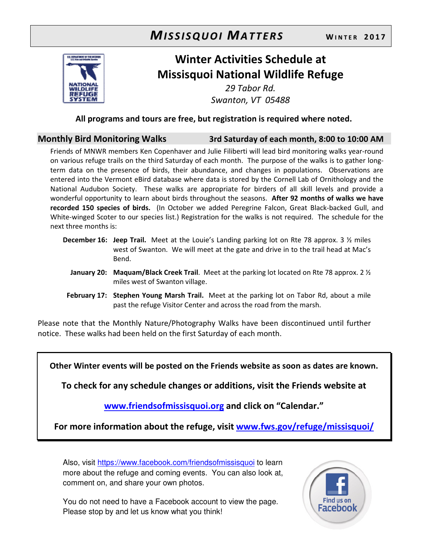

# **Winter Activities Schedule at Missisquoi National Wildlife Refuge**

*29 Tabor Rd. Swanton, VT 05488* 

**All programs and tours are free, but registration is required where noted.** 

### **Monthly Bird Monitoring Walks 3rd Saturday of each month, 8:00 to 10:00 AM**

Friends of MNWR members Ken Copenhaver and Julie Filiberti will lead bird monitoring walks year-round on various refuge trails on the third Saturday of each month. The purpose of the walks is to gather longterm data on the presence of birds, their abundance, and changes in populations. Observations are entered into the Vermont eBird database where data is stored by the Cornell Lab of Ornithology and the National Audubon Society. These walks are appropriate for birders of all skill levels and provide a wonderful opportunity to learn about birds throughout the seasons. **After 92 months of walks we have recorded 150 species of birds.** (In October we added Peregrine Falcon, Great Black-backed Gull, and White-winged Scoter to our species list.) Registration for the walks is not required. The schedule for the next three months is:

- **December 16: Jeep Trail.** Meet at the Louie's Landing parking lot on Rte 78 approx. 3 ½ miles west of Swanton. We will meet at the gate and drive in to the trail head at Mac's Bend.
	- **January 20: Maquam/Black Creek Trail**. Meet at the parking lot located on Rte 78 approx. 2 ½ miles west of Swanton village.
- **February 17: Stephen Young Marsh Trail.** Meet at the parking lot on Tabor Rd, about a mile past the refuge Visitor Center and across the road from the marsh.

Please note that the Monthly Nature/Photography Walks have been discontinued until further notice. These walks had been held on the first Saturday of each month.

**Other Winter events will be posted on the Friends website as soon as dates are known.** 

**To check for any schedule changes or additions, visit the Friends website at** 

**www.friendsofmissisquoi.org and click on "Calendar."** 

**For more information about the refuge, visit www.fws.gov/refuge/missisquoi/**

Also, visit https://www.facebook.com/friendsofmissisquoi to learn more about the refuge and coming events. You can also look at, comment on, and share your own photos.

You do not need to have a Facebook account to view the page. Please stop by and let us know what you think!